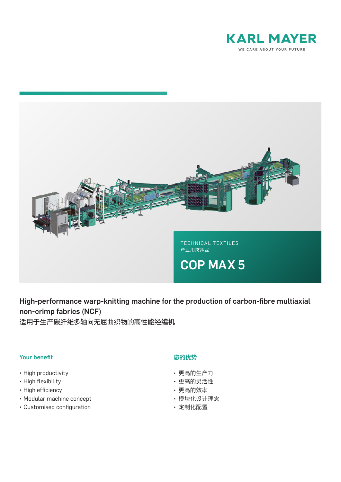



High-performance warp-knitting machine for the production of carbon-fibre multiaxial non-crimp fabrics (NCF)

适用于生产碳纤维多轴向无屈曲织物的高性能经编机

## Your benefit

- High productivity
- High flexibility
- High efficiency
- Modular machine concept
- Customised configuration

## 您的优势

- 更高的生产力
- 更高的灵活性
- 更高的效率
- 模块化设计理念
- 定制化配置